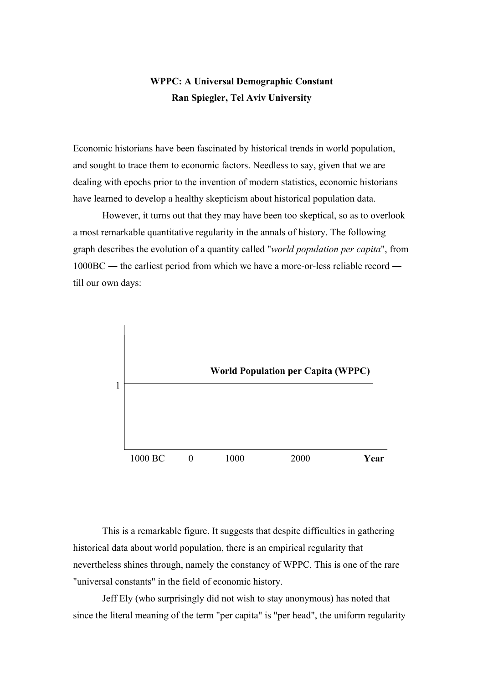## **WPPC: A Universal Demographic Constant Ran Spiegler, Tel Aviv University**

Economic historians have been fascinated by historical trends in world population, and sought to trace them to economic factors. Needless to say, given that we are dealing with epochs prior to the invention of modern statistics, economic historians have learned to develop a healthy skepticism about historical population data.

However, it turns out that they may have been too skeptical, so as to overlook a most remarkable quantitative regularity in the annals of history. The following graph describes the evolution of a quantity called "*world population per capita*", from 1000BC ― the earliest period from which we have a more-or-less reliable record ― till our own days:



This is a remarkable figure. It suggests that despite difficulties in gathering historical data about world population, there is an empirical regularity that nevertheless shines through, namely the constancy of WPPC. This is one of the rare "universal constants" in the field of economic history.

Jeff Ely (who surprisingly did not wish to stay anonymous) has noted that since the literal meaning of the term "per capita" is "per head", the uniform regularity